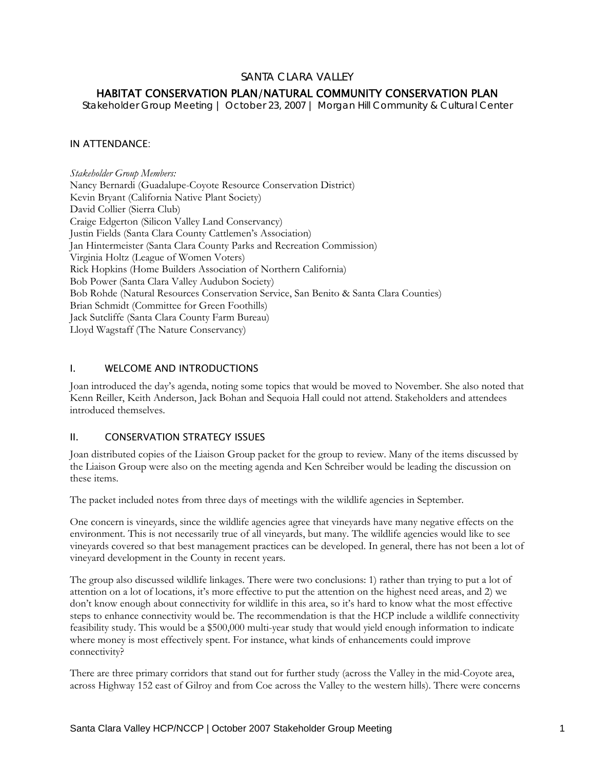## SANTA CLARA VALLEY

# HABITAT CONSERVATION PLAN/NATURAL COMMUNITY CONSERVATION PLAN

*Stakeholder Group Meeting | October 23, 2007 | Morgan Hill Community & Cultural Center* 

## IN ATTENDANCE:

*Stakeholder Group Members:* Nancy Bernardi (Guadalupe-Coyote Resource Conservation District) Kevin Bryant (California Native Plant Society) David Collier (Sierra Club) Craige Edgerton (Silicon Valley Land Conservancy) Justin Fields (Santa Clara County Cattlemen's Association) Jan Hintermeister (Santa Clara County Parks and Recreation Commission) Virginia Holtz (League of Women Voters) Rick Hopkins (Home Builders Association of Northern California) Bob Power (Santa Clara Valley Audubon Society) Bob Rohde (Natural Resources Conservation Service, San Benito & Santa Clara Counties) Brian Schmidt (Committee for Green Foothills) Jack Sutcliffe (Santa Clara County Farm Bureau) Lloyd Wagstaff (The Nature Conservancy)

## I. WELCOME AND INTRODUCTIONS

Joan introduced the day's agenda, noting some topics that would be moved to November. She also noted that Kenn Reiller, Keith Anderson, Jack Bohan and Sequoia Hall could not attend. Stakeholders and attendees introduced themselves.

#### II. CONSERVATION STRATEGY ISSUES

Joan distributed copies of the Liaison Group packet for the group to review. Many of the items discussed by the Liaison Group were also on the meeting agenda and Ken Schreiber would be leading the discussion on these items.

The packet included notes from three days of meetings with the wildlife agencies in September.

One concern is vineyards, since the wildlife agencies agree that vineyards have many negative effects on the environment. This is not necessarily true of all vineyards, but many. The wildlife agencies would like to see vineyards covered so that best management practices can be developed. In general, there has not been a lot of vineyard development in the County in recent years.

The group also discussed wildlife linkages. There were two conclusions: 1) rather than trying to put a lot of attention on a lot of locations, it's more effective to put the attention on the highest need areas, and 2) we don't know enough about connectivity for wildlife in this area, so it's hard to know what the most effective steps to enhance connectivity would be. The recommendation is that the HCP include a wildlife connectivity feasibility study. This would be a \$500,000 multi-year study that would yield enough information to indicate where money is most effectively spent. For instance, what kinds of enhancements could improve connectivity?

There are three primary corridors that stand out for further study (across the Valley in the mid-Coyote area, across Highway 152 east of Gilroy and from Coe across the Valley to the western hills). There were concerns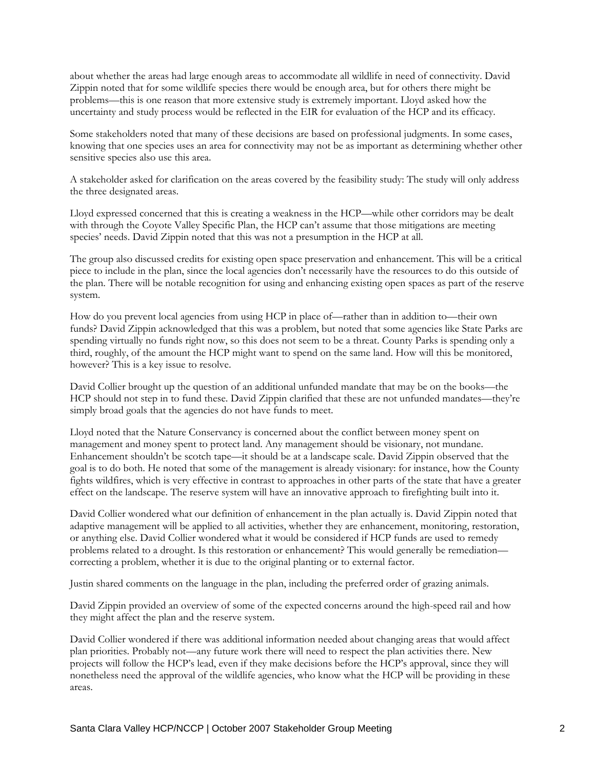about whether the areas had large enough areas to accommodate all wildlife in need of connectivity. David Zippin noted that for some wildlife species there would be enough area, but for others there might be problems—this is one reason that more extensive study is extremely important. Lloyd asked how the uncertainty and study process would be reflected in the EIR for evaluation of the HCP and its efficacy.

Some stakeholders noted that many of these decisions are based on professional judgments. In some cases, knowing that one species uses an area for connectivity may not be as important as determining whether other sensitive species also use this area.

A stakeholder asked for clarification on the areas covered by the feasibility study: The study will only address the three designated areas.

Lloyd expressed concerned that this is creating a weakness in the HCP—while other corridors may be dealt with through the Coyote Valley Specific Plan, the HCP can't assume that those mitigations are meeting species' needs. David Zippin noted that this was not a presumption in the HCP at all.

The group also discussed credits for existing open space preservation and enhancement. This will be a critical piece to include in the plan, since the local agencies don't necessarily have the resources to do this outside of the plan. There will be notable recognition for using and enhancing existing open spaces as part of the reserve system.

How do you prevent local agencies from using HCP in place of—rather than in addition to—their own funds? David Zippin acknowledged that this was a problem, but noted that some agencies like State Parks are spending virtually no funds right now, so this does not seem to be a threat. County Parks is spending only a third, roughly, of the amount the HCP might want to spend on the same land. How will this be monitored, however? This is a key issue to resolve.

David Collier brought up the question of an additional unfunded mandate that may be on the books—the HCP should not step in to fund these. David Zippin clarified that these are not unfunded mandates—they're simply broad goals that the agencies do not have funds to meet.

Lloyd noted that the Nature Conservancy is concerned about the conflict between money spent on management and money spent to protect land. Any management should be visionary, not mundane. Enhancement shouldn't be scotch tape—it should be at a landscape scale. David Zippin observed that the goal is to do both. He noted that some of the management is already visionary: for instance, how the County fights wildfires, which is very effective in contrast to approaches in other parts of the state that have a greater effect on the landscape. The reserve system will have an innovative approach to firefighting built into it.

David Collier wondered what our definition of enhancement in the plan actually is. David Zippin noted that adaptive management will be applied to all activities, whether they are enhancement, monitoring, restoration, or anything else. David Collier wondered what it would be considered if HCP funds are used to remedy problems related to a drought. Is this restoration or enhancement? This would generally be remediation correcting a problem, whether it is due to the original planting or to external factor.

Justin shared comments on the language in the plan, including the preferred order of grazing animals.

David Zippin provided an overview of some of the expected concerns around the high-speed rail and how they might affect the plan and the reserve system.

David Collier wondered if there was additional information needed about changing areas that would affect plan priorities. Probably not—any future work there will need to respect the plan activities there. New projects will follow the HCP's lead, even if they make decisions before the HCP's approval, since they will nonetheless need the approval of the wildlife agencies, who know what the HCP will be providing in these areas.